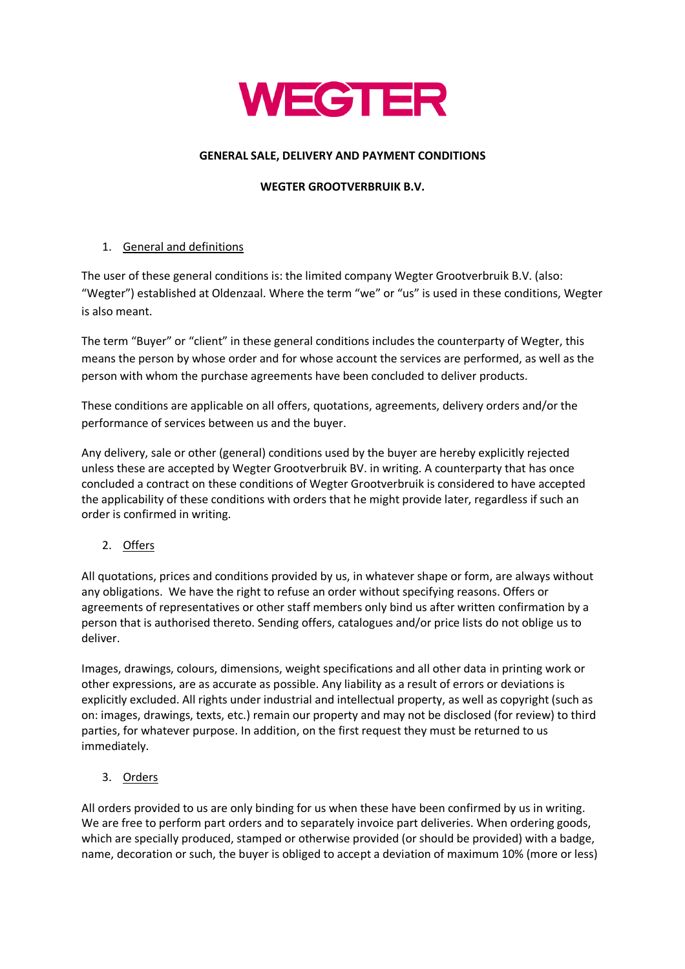

## **GENERAL SALE, DELIVERY AND PAYMENT CONDITIONS**

### **WEGTER GROOTVERBRUIK B.V.**

# 1. General and definitions

The user of these general conditions is: the limited company Wegter Grootverbruik B.V. (also: "Wegter") established at Oldenzaal. Where the term "we" or "us" is used in these conditions, Wegter is also meant.

The term "Buyer" or "client" in these general conditions includes the counterparty of Wegter, this means the person by whose order and for whose account the services are performed, as well as the person with whom the purchase agreements have been concluded to deliver products.

These conditions are applicable on all offers, quotations, agreements, delivery orders and/or the performance of services between us and the buyer.

Any delivery, sale or other (general) conditions used by the buyer are hereby explicitly rejected unless these are accepted by Wegter Grootverbruik BV. in writing. A counterparty that has once concluded a contract on these conditions of Wegter Grootverbruik is considered to have accepted the applicability of these conditions with orders that he might provide later, regardless if such an order is confirmed in writing.

2. Offers

All quotations, prices and conditions provided by us, in whatever shape or form, are always without any obligations. We have the right to refuse an order without specifying reasons. Offers or agreements of representatives or other staff members only bind us after written confirmation by a person that is authorised thereto. Sending offers, catalogues and/or price lists do not oblige us to deliver.

Images, drawings, colours, dimensions, weight specifications and all other data in printing work or other expressions, are as accurate as possible. Any liability as a result of errors or deviations is explicitly excluded. All rights under industrial and intellectual property, as well as copyright (such as on: images, drawings, texts, etc.) remain our property and may not be disclosed (for review) to third parties, for whatever purpose. In addition, on the first request they must be returned to us immediately.

3. Orders

All orders provided to us are only binding for us when these have been confirmed by us in writing. We are free to perform part orders and to separately invoice part deliveries. When ordering goods, which are specially produced, stamped or otherwise provided (or should be provided) with a badge, name, decoration or such, the buyer is obliged to accept a deviation of maximum 10% (more or less)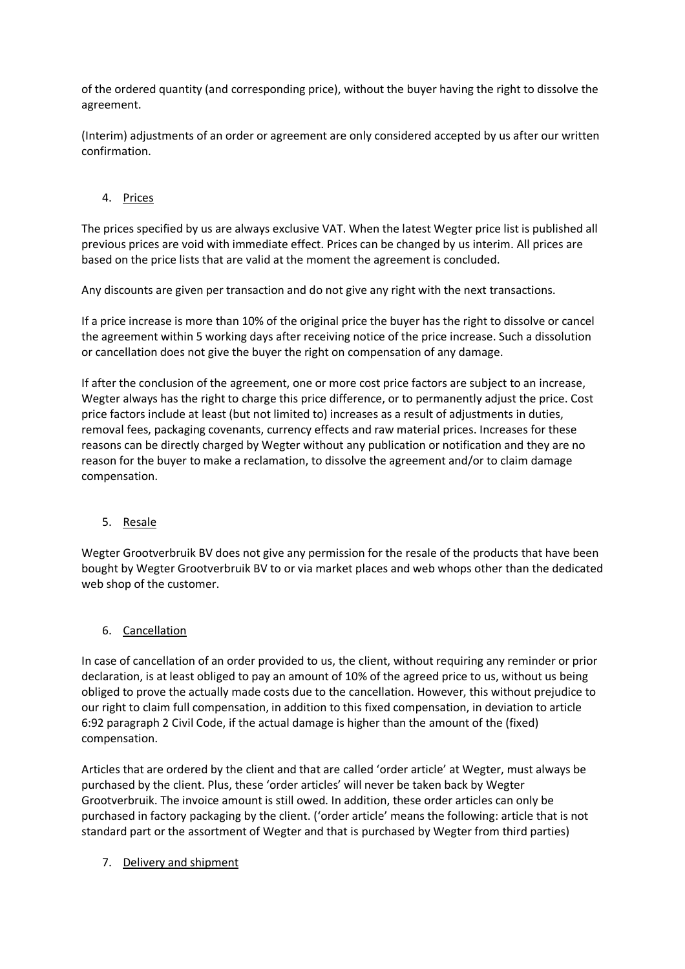of the ordered quantity (and corresponding price), without the buyer having the right to dissolve the agreement.

(Interim) adjustments of an order or agreement are only considered accepted by us after our written confirmation.

# 4. Prices

The prices specified by us are always exclusive VAT. When the latest Wegter price list is published all previous prices are void with immediate effect. Prices can be changed by us interim. All prices are based on the price lists that are valid at the moment the agreement is concluded.

Any discounts are given per transaction and do not give any right with the next transactions.

If a price increase is more than 10% of the original price the buyer has the right to dissolve or cancel the agreement within 5 working days after receiving notice of the price increase. Such a dissolution or cancellation does not give the buyer the right on compensation of any damage.

If after the conclusion of the agreement, one or more cost price factors are subject to an increase, Wegter always has the right to charge this price difference, or to permanently adjust the price. Cost price factors include at least (but not limited to) increases as a result of adjustments in duties, removal fees, packaging covenants, currency effects and raw material prices. Increases for these reasons can be directly charged by Wegter without any publication or notification and they are no reason for the buyer to make a reclamation, to dissolve the agreement and/or to claim damage compensation.

### 5. Resale

Wegter Grootverbruik BV does not give any permission for the resale of the products that have been bought by Wegter Grootverbruik BV to or via market places and web whops other than the dedicated web shop of the customer.

# 6. Cancellation

In case of cancellation of an order provided to us, the client, without requiring any reminder or prior declaration, is at least obliged to pay an amount of 10% of the agreed price to us, without us being obliged to prove the actually made costs due to the cancellation. However, this without prejudice to our right to claim full compensation, in addition to this fixed compensation, in deviation to article 6:92 paragraph 2 Civil Code, if the actual damage is higher than the amount of the (fixed) compensation.

Articles that are ordered by the client and that are called 'order article' at Wegter, must always be purchased by the client. Plus, these 'order articles' will never be taken back by Wegter Grootverbruik. The invoice amount is still owed. In addition, these order articles can only be purchased in factory packaging by the client. ('order article' means the following: article that is not standard part or the assortment of Wegter and that is purchased by Wegter from third parties)

### 7. Delivery and shipment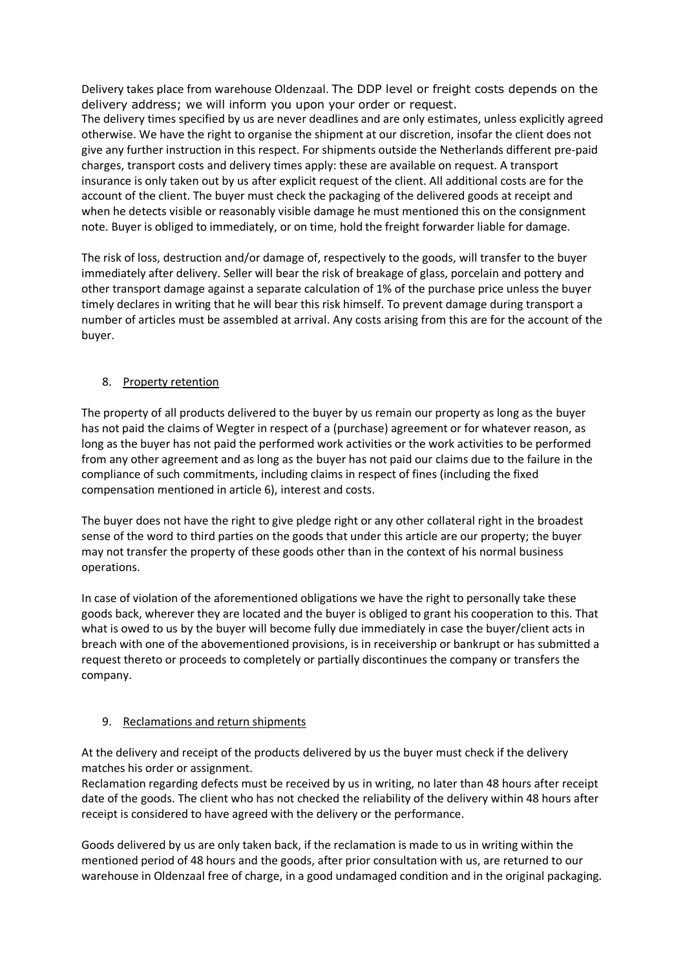Delivery takes place from warehouse Oldenzaal. The DDP level or freight costs depends on the delivery address; we will inform you upon your order or request.

The delivery times specified by us are never deadlines and are only estimates, unless explicitly agreed otherwise. We have the right to organise the shipment at our discretion, insofar the client does not give any further instruction in this respect. For shipments outside the Netherlands different pre-paid charges, transport costs and delivery times apply: these are available on request. A transport insurance is only taken out by us after explicit request of the client. All additional costs are for the account of the client. The buyer must check the packaging of the delivered goods at receipt and when he detects visible or reasonably visible damage he must mentioned this on the consignment note. Buyer is obliged to immediately, or on time, hold the freight forwarder liable for damage.

The risk of loss, destruction and/or damage of, respectively to the goods, will transfer to the buyer immediately after delivery. Seller will bear the risk of breakage of glass, porcelain and pottery and other transport damage against a separate calculation of 1% of the purchase price unless the buyer timely declares in writing that he will bear this risk himself. To prevent damage during transport a number of articles must be assembled at arrival. Any costs arising from this are for the account of the buyer.

# 8. Property retention

The property of all products delivered to the buyer by us remain our property as long as the buyer has not paid the claims of Wegter in respect of a (purchase) agreement or for whatever reason, as long as the buyer has not paid the performed work activities or the work activities to be performed from any other agreement and as long as the buyer has not paid our claims due to the failure in the compliance of such commitments, including claims in respect of fines (including the fixed compensation mentioned in article 6), interest and costs.

The buyer does not have the right to give pledge right or any other collateral right in the broadest sense of the word to third parties on the goods that under this article are our property; the buyer may not transfer the property of these goods other than in the context of his normal business operations.

In case of violation of the aforementioned obligations we have the right to personally take these goods back, wherever they are located and the buyer is obliged to grant his cooperation to this. That what is owed to us by the buyer will become fully due immediately in case the buyer/client acts in breach with one of the abovementioned provisions, is in receivership or bankrupt or has submitted a request thereto or proceeds to completely or partially discontinues the company or transfers the company.

# 9. Reclamations and return shipments

At the delivery and receipt of the products delivered by us the buyer must check if the delivery matches his order or assignment.

Reclamation regarding defects must be received by us in writing, no later than 48 hours after receipt date of the goods. The client who has not checked the reliability of the delivery within 48 hours after receipt is considered to have agreed with the delivery or the performance.

Goods delivered by us are only taken back, if the reclamation is made to us in writing within the mentioned period of 48 hours and the goods, after prior consultation with us, are returned to our warehouse in Oldenzaal free of charge, in a good undamaged condition and in the original packaging.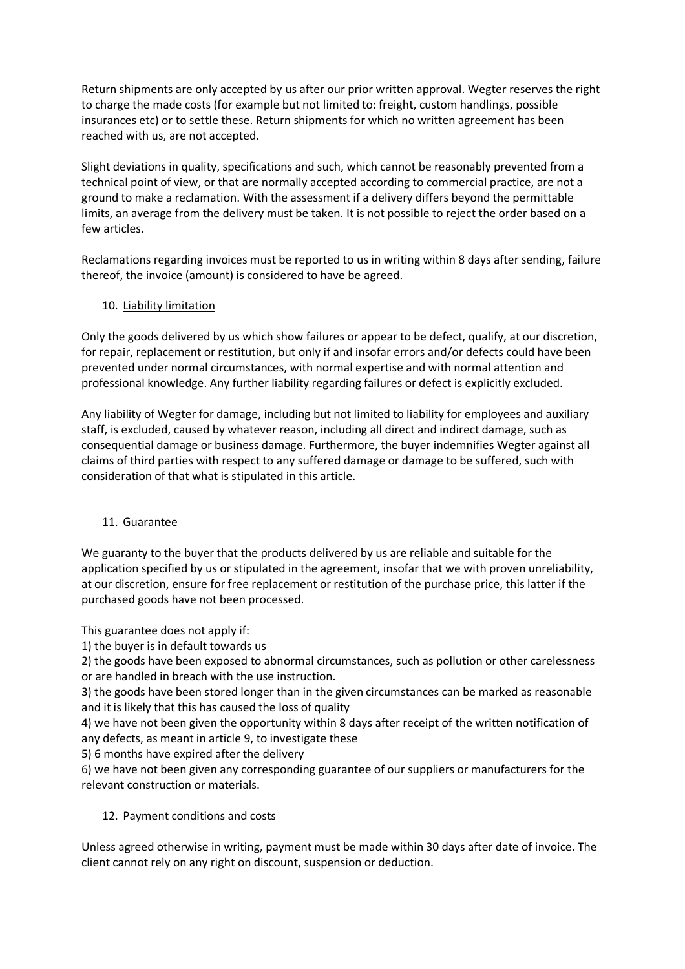Return shipments are only accepted by us after our prior written approval. Wegter reserves the right to charge the made costs (for example but not limited to: freight, custom handlings, possible insurances etc) or to settle these. Return shipments for which no written agreement has been reached with us, are not accepted.

Slight deviations in quality, specifications and such, which cannot be reasonably prevented from a technical point of view, or that are normally accepted according to commercial practice, are not a ground to make a reclamation. With the assessment if a delivery differs beyond the permittable limits, an average from the delivery must be taken. It is not possible to reject the order based on a few articles.

Reclamations regarding invoices must be reported to us in writing within 8 days after sending, failure thereof, the invoice (amount) is considered to have be agreed.

## 10. Liability limitation

Only the goods delivered by us which show failures or appear to be defect, qualify, at our discretion, for repair, replacement or restitution, but only if and insofar errors and/or defects could have been prevented under normal circumstances, with normal expertise and with normal attention and professional knowledge. Any further liability regarding failures or defect is explicitly excluded.

Any liability of Wegter for damage, including but not limited to liability for employees and auxiliary staff, is excluded, caused by whatever reason, including all direct and indirect damage, such as consequential damage or business damage. Furthermore, the buyer indemnifies Wegter against all claims of third parties with respect to any suffered damage or damage to be suffered, such with consideration of that what is stipulated in this article.

### 11. Guarantee

We guaranty to the buyer that the products delivered by us are reliable and suitable for the application specified by us or stipulated in the agreement, insofar that we with proven unreliability, at our discretion, ensure for free replacement or restitution of the purchase price, this latter if the purchased goods have not been processed.

This guarantee does not apply if:

1) the buyer is in default towards us

2) the goods have been exposed to abnormal circumstances, such as pollution or other carelessness or are handled in breach with the use instruction.

3) the goods have been stored longer than in the given circumstances can be marked as reasonable and it is likely that this has caused the loss of quality

4) we have not been given the opportunity within 8 days after receipt of the written notification of any defects, as meant in article 9, to investigate these

5) 6 months have expired after the delivery

6) we have not been given any corresponding guarantee of our suppliers or manufacturers for the relevant construction or materials.

# 12. Payment conditions and costs

Unless agreed otherwise in writing, payment must be made within 30 days after date of invoice. The client cannot rely on any right on discount, suspension or deduction.